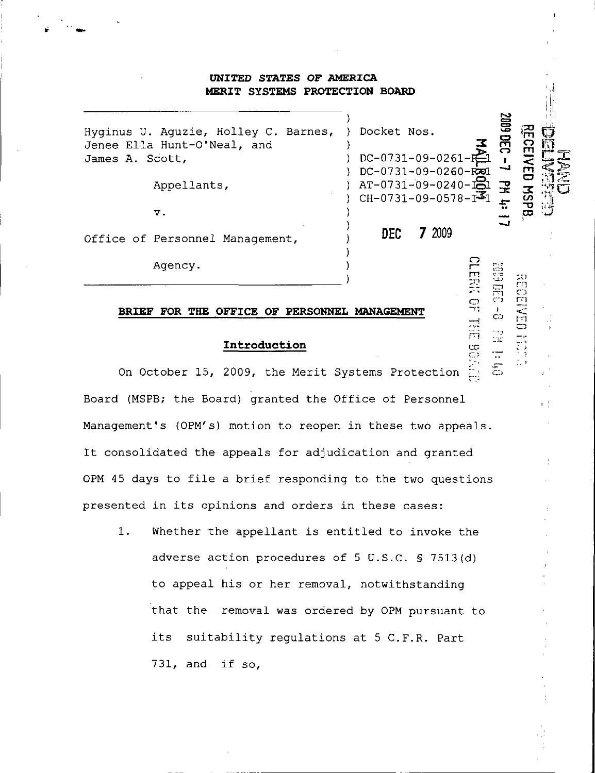## UNITED STATES OF AMERICA MERIT SYSTEMS PROTECTION BOARD

| James A. Scott, | Hyginus U. Aguzie, Holley C. Barnes,<br>Jenee Ella Hunt-O'Neal, and<br>Appellants, | Docket Nos.<br>$DC-0731-09-0261-F$<br>$DC - 0731 - 09 - 0260 -$<br>$AT-0731-09-0240-131$<br>$CH-0731-09-0578-I$ |        | <b>SOG</b><br>궆 |  |
|-----------------|------------------------------------------------------------------------------------|-----------------------------------------------------------------------------------------------------------------|--------|-----------------|--|
|                 | v.                                                                                 |                                                                                                                 |        |                 |  |
|                 | Office of Personnel Management,                                                    | DEC.                                                                                                            | 7 2009 |                 |  |
|                 | Agency.                                                                            |                                                                                                                 |        |                 |  |

o

 $\ddot{\circ}$ 

 $1 - \frac{1}{2}$ 

``<br>C}<br>```

#### BRIEF FOR THE OFFICE OF PERSONNEL MANAGEMENT

## Introduction

On October 15, 2009, the Merit Systems Protection Board (MSPB; the Board) granted the Office of Personnel Management's (OPM's) motion to reopen in these two appeals. It consolidated the appeals for adjudication and granted 0PM 45 days to file a brief responding to the two questions presented in its opinions and orders in these cases:

1. Whether the appellant is entitled to invoke the adverse action procedures of 5 U.S.C. § 7513 (d) to appeal his or her removal, notwithstanding that the removal was ordered by 0PM pursuant to its suitability regulations at 5 C.F.R. Part 731, and if so,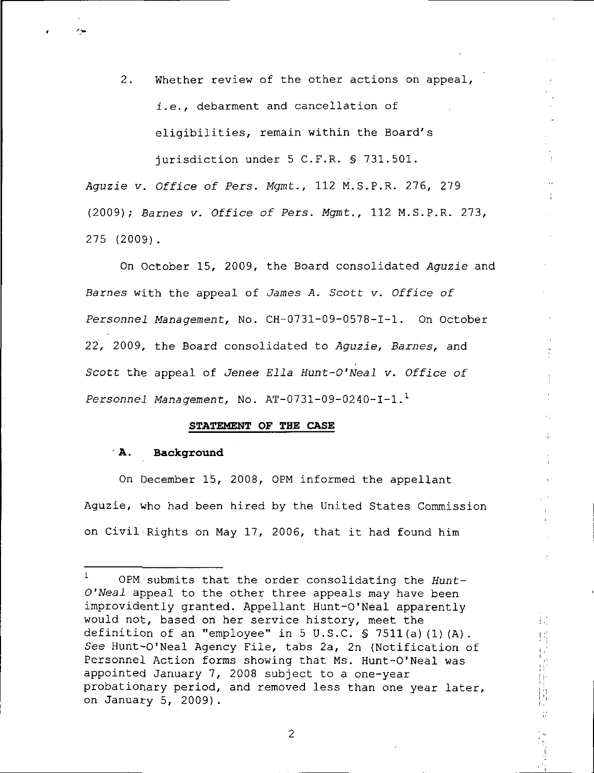2. Whether review of the other actions on appeal, i.e., debarment and cancellation of eligibilities, remain within the Board's jurisdiction under 5 C.F.R. § 731.501.

Aguzie v. Office of Pers. Mgmt., 112 M.S.P.R. 276, 279 (2009); Barnes v. Office of Pers. Mgmt., 112 M.S.P.R. 273, 275 (2009).

On October 15, 2009, the Board consolidated Aguzie and Barnes with the appeal of James A. Scott v. Office of Personnel Management, No. CH-0731-09-0578-I-1. On October 22, 2009, the Board consolidated to Aguzie, Barnes, and Scott the appeal of Jenee Ella Hunt-O'Neal v. Office of Personnel Management, No.  $AT-0731-09-0240-I-1.<sup>1</sup>$ 

### STATEMENT OF THE CASE

### A. Background

On December 15, 2008, 0PM informed the appellant Aguzie, who had been hired by the United States Commission on Civil Rights on May 17, 2006, that it had found him

÷,

 $\mathcal{L}^{\dagger}$ 

 $\begin{array}{c} \begin{array}{c} \begin{array}{c} \end{array} \\ \begin{array}{c} \end{array} \end{array} \end{array}$ ₿,  $\frac{1}{13}$ 

 $\overline{2}$ 

<sup>0</sup>PM submits that the order consolidating the Hunt-O'Neal appeal to the other three appeals may have been improvidently granted. Appellant Hunt-O'Neal apparently would not, based on her service history, meet the definition of an "employee" in 5 U.S.C. § 7511(a)(1)(A). See Hunt-O'Neal Agency File, tabs 2a, 2n (Notification of Personnel Action forms showing that Ms. Hunt-O'Neal was appointed January 7, 2008 subject to a one-year probationary period, and removed less than one year later, on January 5, 2009}.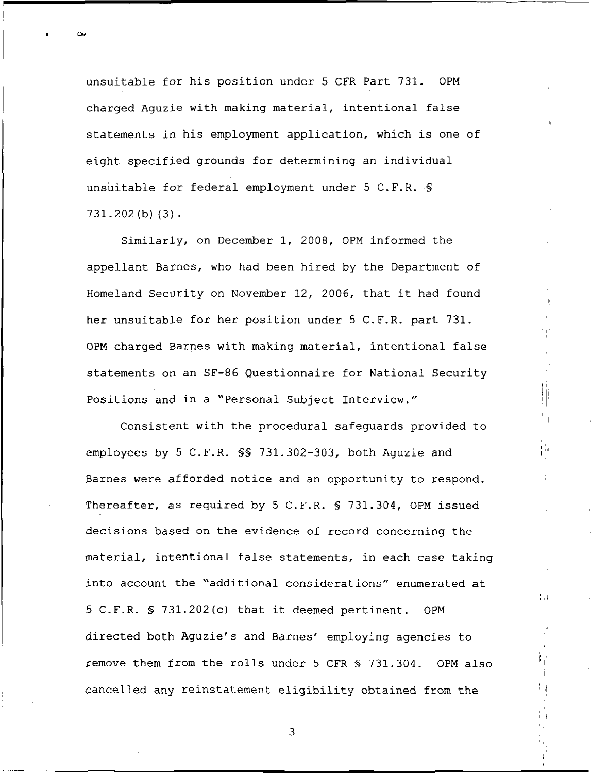unsuitable for his position under 5 CFR Part 731. OPM charged Aguzie with making material, intentional false statements in his employment application, which is one of eight specified grounds for determining an individual unsuitable for federal employment under 5 C.F.R. § 731.202(b)(3).

Similarly, on December 1, 2008, OPM informed the appellant Barnes, who had been hired by the Department of Homeland Security on November 12, 2006, that it had found her unsuitable for her position under 5 C.F.R. part 731. OPM charged Barnes with making material, intentional false statements on an SF-86 Questionnaire for National Security Positions and in a "Personal Subject Interview."

Τþ

÷Τ

 $\mathcal{V}_{\mathcal{A}}$  $\mathbf{i}$ 

Consistent with the procedural safeguards provided to employees by 5 C.F.R. §§ 731.302-303, both Aguzie and Barnes were afforded notice and an opportunity to respond. Thereafter, as required by 5 C.F.R. § 731.304, OPM issued decisions based on the evidence of record concerning the material, intentional false statements, in each case taking into account the "additional considerations" enumerated at 5 C.F.R. § 731.202(c) that it deemed pertinent. OPM directed both Aguzie's and Barnes' employing agencies to remove them from the rolls under 5 CFR § 731.304. OPM also cancelled any reinstatement eligibility obtained from the

 $\mathfrak{Z}$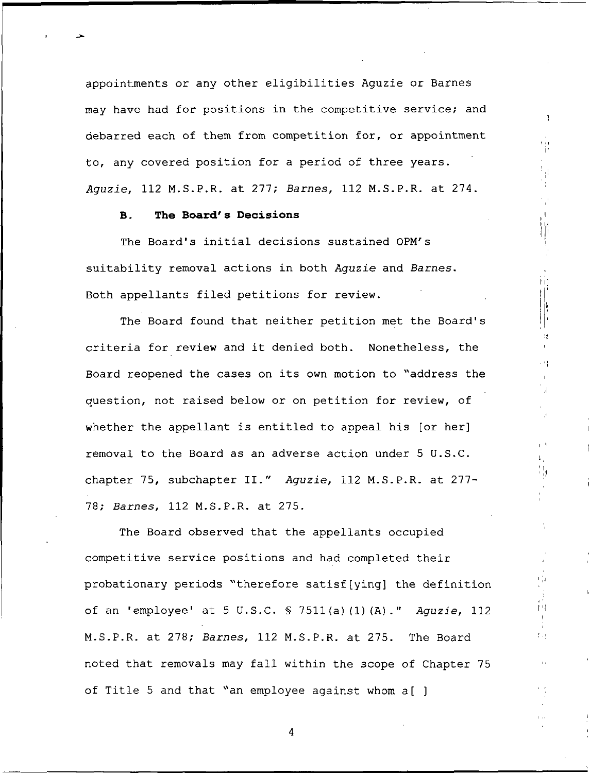appointments or any other eligibilities Aguzie or Barnes may have had for positions in the competitive service; and debarred each of them from competition for, or appointment to, any covered position for a period of three years. Aguzie, 112 M.S.P.R. at 277; Barnes, 112 M.S.P.R. at 274.

-1

i<br>Tu

Ϊij

 $\mathcal{Q}$ 

 $\frac{1}{\sqrt{2}}$ 

İЧ.

本地

### B. The Board's Decisions

The Board's initial decisions sustained 0PM's suitability removal actions in both Aguzie and Barnes. Both appellants filed petitions for review.

The Board found that neither petition met the Board's criteria for review and it denied both. Nonetheless, the Board reopened the cases on its own motion to "address the question, not raised below or on petition for review, of whether the appellant is entitled to appeal his [or her] removal to the Board as an adverse action under 5 U.S.C. chapter 75, subchapter II." Aguzie, 112 M.S.P.R. at 277- 78; Barnes, 112 M.S.P.R. at 275.

The Board observed that the appellants occupied competitive service positions and had completed their probationary periods "therefore satisf(ying) the definition of an 'employee' at 5 U.S.C. § 7511(a)(1)(A)." Aguzie, 112 M.S.P.R. at 278; Barnes, 112 M.S.P.R. at 275. The Board noted that removals may fall within the scope of Chapter 75 of Title 5 and that "an employee against whom a[ ]

 $\overline{4}$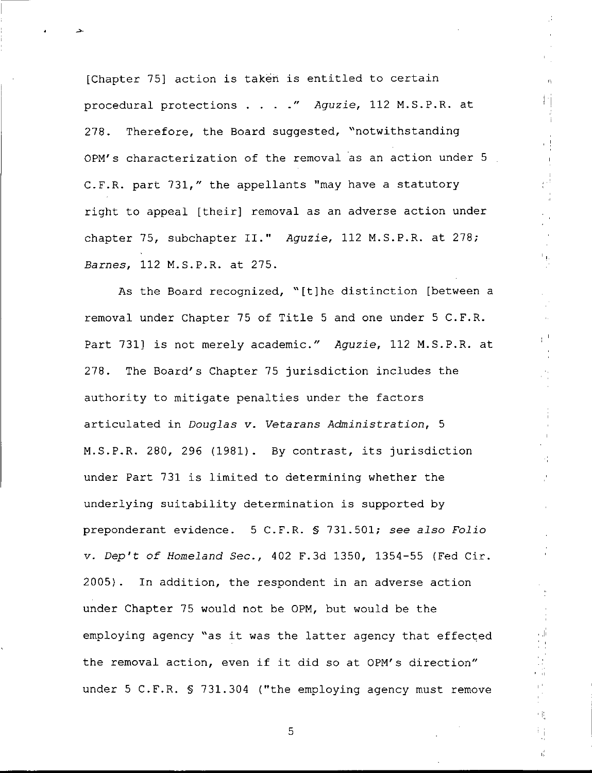[Chapter 75] action is taken is entitled to certain procedural protections . . . ." Aguzie, 112 M.S.P.R. at 278. Therefore, the Board suggested, "notwithstanding 0PM's characterization of the removal as an action under 5 C.F.R. part 731," the appellants "may have a statutory right to appeal [their] removal as an adverse action under chapter 75, subchapter II." Aguzie, 112 M.S.P.R. at 278; Barnes, 112 M.S.P.R. at 275.

 $\pm 1$ 

小长

τģ.

As the Board recognized, "[t]he distinction [between a removal under Chapter 75 of Title 5 and one under 5 C.F.R. Part 731] is not merely academic." Aguzie, 112 M.S.P.R. at 278. The Board's Chapter 75 jurisdiction includes the authority to mitigate penalties under the factors articulated in Douglas v. Vetarans Administration, 5 M.S.P.R. 280, 296 (1981). By contrast, its jurisdiction under Part 731 is limited to determining whether the underlying suitability determination is supported by preponderant evidence. 5 C.F.R. § 731.501; see also Folio v. Dep't of Homeland Sec., 402 F.3d 1350, 1354-55 (Fed Cir. 2005}. In addition, the respondent in an adverse action under Chapter 75 would not be 0PM, but would be the employing agency "as it was the latter agency that effected the removal action, even if it did so at 0PM's direction" under 5 C.F.R. § 731.304 ("the employing agency must remove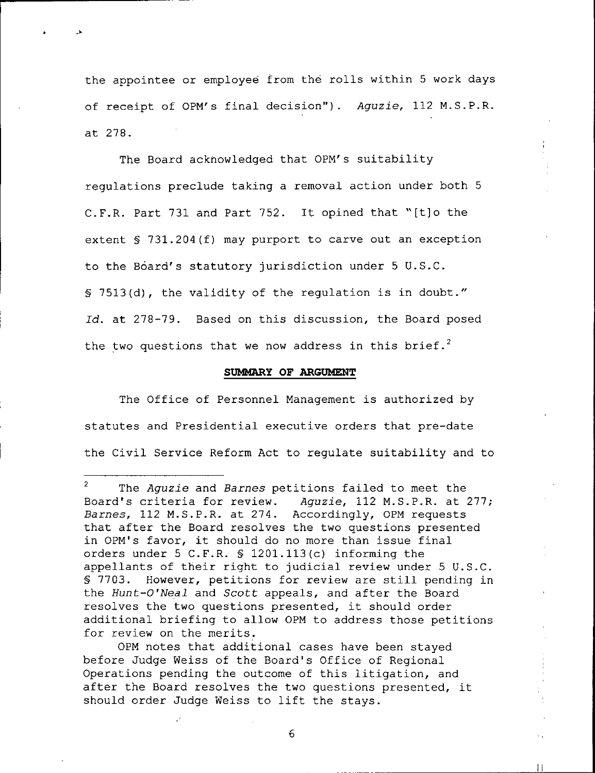the appointee or employee from the rolls within 5 work days of receipt of OPM's final decision"). Aguzie, 112 M.S.P.R. at 278.

The Board acknowledged that OPM's suitability regulations preclude taking a removal action under both 5 C.F.R. Part 731 and Part 752. It opined that "[t]o the extent § 731.204(f) may purport to carve out an exception to the Board's statutory jurisdiction under 5 U.S.C. § 7513(d), the validity of the regulation is in doubt." Id. at 278-79. Based on this discussion, the Board posed the two questions that we now address in this brief.<sup>2</sup>

### SUMMARY OF ARGUMENT

The Office of Personnel Management is authorized by statutes and Presidential executive orders that pre-date the Civil Service Reform Act to regulate suitability and to

OPM notes that additional cases have been stayed before Judge Weiss of the Board's Office of Regional Operations pending the outcome of this litigation, and after the Board resolves the two questions presented, it should order Judge Weiss to lift the stays.

 $\mathcal{L}$ The Aguzie and Barnes petitions failed to meet the Board's criteria for review. Aguzie, 112 M.S.P.R. at 277; Barnes, 112 M.S.P.R. at 274. Accordingly, OPM requests that after the Board resolves the two questions presented in OPM's favor, it should do no more than issue final orders under 5 C.F.R. § 1201.113(c) informing the appellants of their right to judicial review under 5 U.S.C. § 7703. However, petitions for review are still pending in the Hunt-O'Neal and Scott appeals, and after the Board resolves the two questions presented, it should order additional briefing to allow OPM to address those petitions for review on the merits.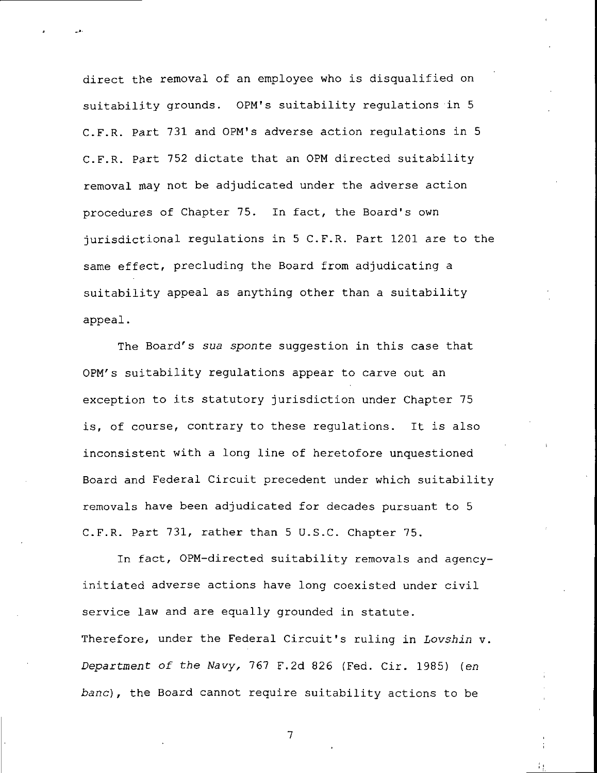direct the removal of an employee who is disqualified on suitability grounds. OPM's suitability regulations in 5 C.F.R. Part 731 and OPM's adverse action regulations in 5 C.F.R. Part 752 dictate that an 0PM directed suitability removal may not be adjudicated under the adverse action procedures of Chapter 75. In fact, the Board's own jurisdictional regulations in 5 C.F.R. Part 1201 are to the same effect, precluding the Board from adjudicating a suitability appeal as anything other than a suitability appeal.

The Board's sua sponte suggestion in this case that OPM's suitability regulations appear to carve out an exception to its statutory jurisdiction under Chapter 75 is, of course, contrary to these regulations. It is also inconsistent with a long line of heretofore unquestioned Board and Federal Circuit precedent under which suitability removals have been adjudicated for decades pursuant to 5 C.F.R. Part 731, rather than 5 U.S.C. Chapter 75.

In fact, OPM-directed suitability removals and agencyinitiated adverse actions have long coexisted under civil service law and are equally grounded in statute. Therefore, under the Federal Circuit's ruling in Lovshin v. Department of the Navy, 767 F.2d 826 (Fed. Cir. 1985) (en bane), the Board cannot require suitability actions to be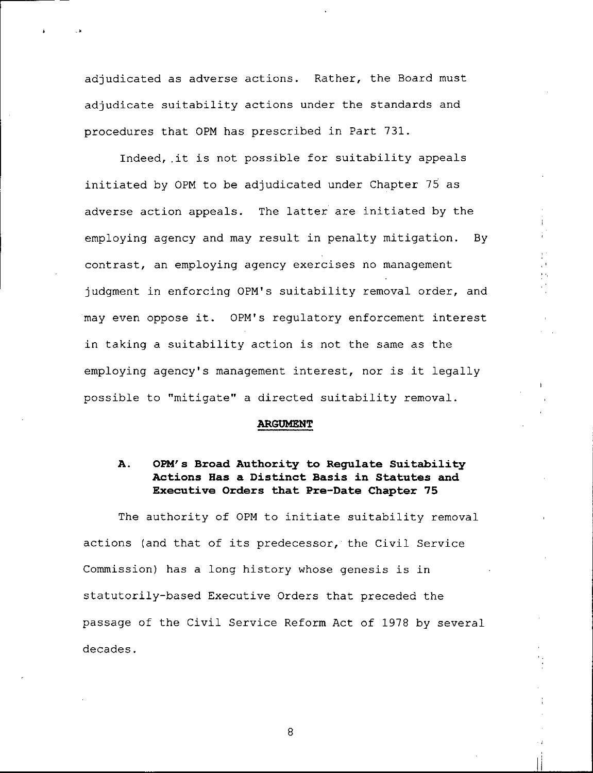adjudicated as adverse actions. Rather, the Board must adjudicate suitability actions under the standards and procedures that 0PM has prescribed in Part 731.

Indeed,.it is not possible for suitability appeals initiated by 0PM to be adjudicated under Chapter 75 as adverse action appeals. The latter are initiated by the employing agency and may result in penalty mitigation. By contrast, an employing agency exercises no management judgment in enforcing 0PM<sup>1</sup>s suitability removal order, and may even oppose it. 0PM's regulatory enforcement interest in taking a suitability action is not the same as the employing agency's management interest, nor is it legally possible to "mitigate" a directed suitability removal.

#### ARGUMENT

## A. OPM's Broad Authority to Regulate Suitability Actions Has a Distinct Basis in Statutes and Executive Orders that Pre-Date Chapter 75

The authority of 0PM to initiate suitability removal actions (and that of its predecessor, the Civil Service Commission) has a long history whose genesis is in statutorily-based Executive Orders that preceded the passage of the Civil Service Reform Act of 1978 by several decades.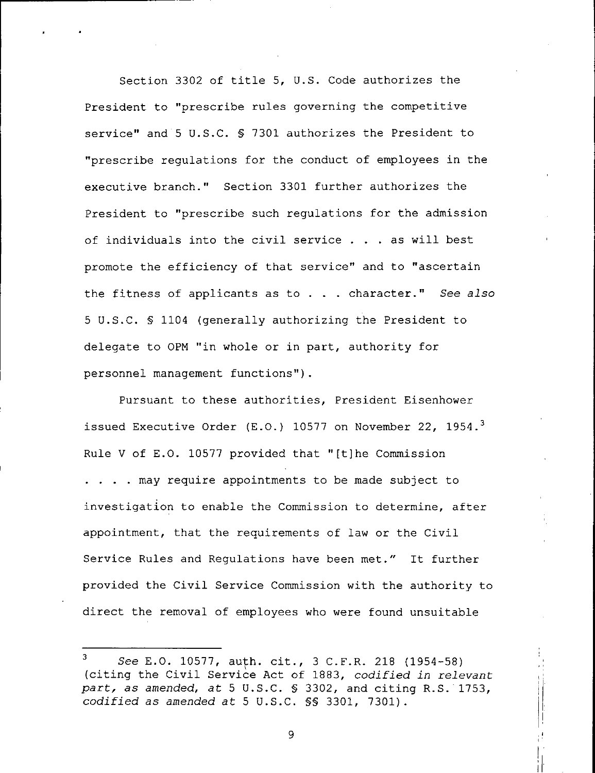Section 3302 of title 5, U.S. Code authorizes the President to "prescribe rules governing the competitive service" and 5 U.S.C. § 7301 authorizes the President to "prescribe regulations for the conduct of employees in the executive branch." Section 3301 further authorizes the President to "prescribe such regulations for the admission of individuals into the civil service ... as will best promote the efficiency of that service" and to "ascertain the fitness of applicants as to . . . character." See also 5 U.S.C. § 1104 (generally authorizing the President to delegate to 0PM "in whole or in part, authority for personnel management functions").

Pursuant to these authorities, President Eisenhower issued Executive Order (E.O.) 10577 on November 22, 1954.<sup>3</sup> Rule V of E.G. 10577 provided that "[t]he Commission . . . . may require appointments to be made subject to investigation to enable the Commission to determine, after appointment, that the requirements of law or the Civil Service Rules and Regulations have been met." It further provided the Civil Service Commission with the authority to direct the removal of employees who were found unsuitable

<sup>3</sup> See E.G. 10577, auth. cit., 3 C.F.R. 218 (1954-58) (citing the Civil Service Act of 1883, codified in relevant part, as amended, at 5 U.S.C. § 3302, and citing R.S. 1753, codified as amended at 5 U.S.C. §§ 3301, 7301).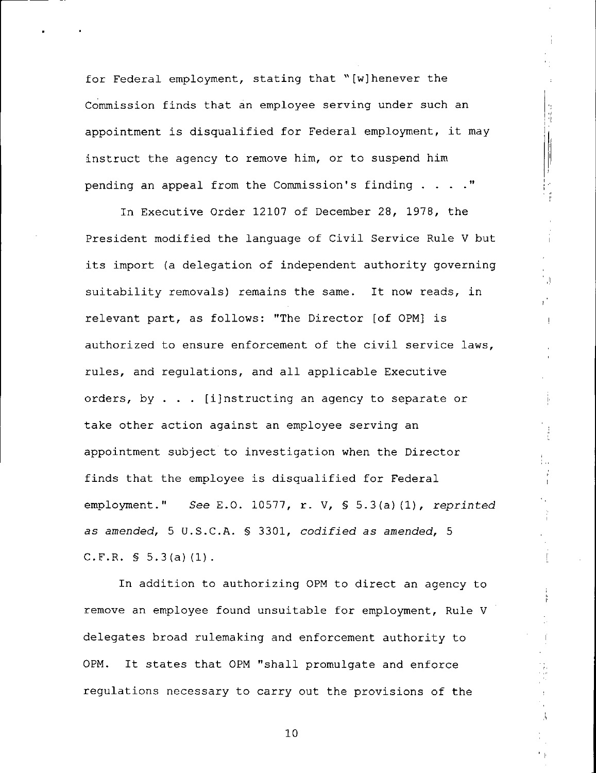for Federal employment, stating that "[wjhenever the Commission finds that an employee serving under such an appointment is disqualified for Federal employment, it may instruct the agency to remove him, or to suspend him pending an appeal from the Commission's finding . . . ."

计中止

 $\bar{1}$ 

In Executive Order 12107 of December 28, 1978, the President modified the language of Civil Service Rule V but its import (a delegation of independent authority governing suitability removals) remains the same. It now reads, in relevant part, as follows: "The Director [of 0PM] is authorized to ensure enforcement of the civil service laws, rules, and regulations, and all applicable Executive orders, by ... [i]nstructing an agency to separate or take other action against an employee serving an appointment subject to investigation when the Director finds that the employee is disqualified for Federal employment." See E.G. 10577, r. V, § 5.3(a)(l), reprinted as amended, 5 U.S.C.A. § 3301, codified as amended, 5 C.F.R.  $\{5.3(a)(1)\}.$ 

In addition to authorizing 0PM to direct an agency to remove an employee found unsuitable for employment, Rule V delegates broad rulemaking and enforcement authority to 0PM. It states that 0PM "shall promulgate and enforce regulations necessary to carry out the provisions of the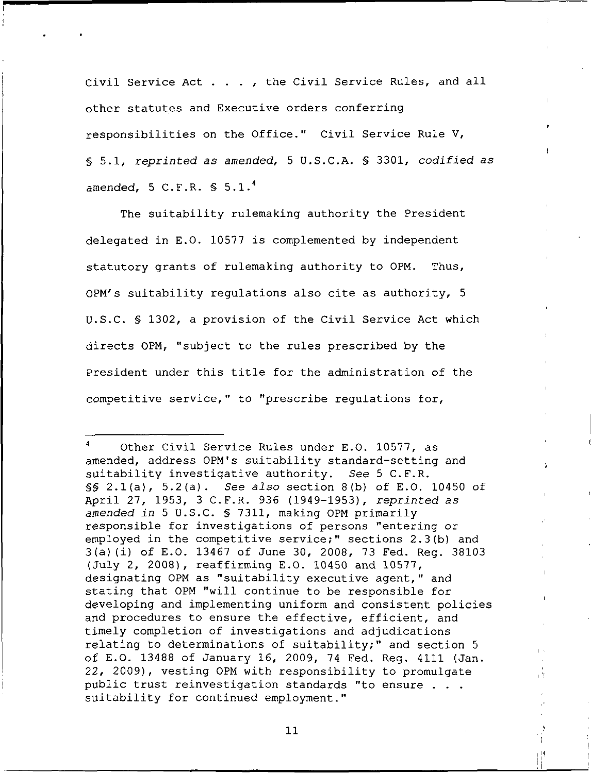Civil Service Act . . . , the Civil Service Rules, and all other statutes and Executive orders conferring responsibilities on the Office." Civil Service Rule V, § 5.1, reprinted as amended, 5 U.S.C.A. § 3301, codified as amended,  $5$  C.F.R.  $$5.1.^4$ 

The suitability rulemaking authority the President delegated in E.G. 10577 is complemented by independent statutory grants of rulemaking authority to 0PM. Thus, 0PM's suitability regulations also cite as authority, 5 U.S.C. § 1302, a provision of the Civil Service Act which directs 0PM, "subject to the rules prescribed by the President under this title for the administration of the competitive service," to "prescribe regulations for,

τŤ

Other Civil Service Rules under E.O. 10577, as amended, address 0PM's suitability standard-setting and suitability investigative authority. See 5 C.F.R.  $$§$  2.1(a), 5.2(a). See also section 8(b) of E.O. 10450 of April 27, 1953, 3 C.F.R. 936 (1949-1953), reprinted as amended in 5 U.S.C. § 7311, making 0PM primarily responsible for investigations of persons "entering or employed in the competitive service;" sections 2.3(b) and 3(a)(i) of E.G. 13467 of June 30, 2008, 73 Fed. Reg. 38103 (July 2, 2008), reaffirming E.O. 10450 and 10577, designating 0PM as "suitability executive agent," and stating that 0PM "will continue to be responsible for developing and implementing uniform and consistent policies and procedures to ensure the effective, efficient, and timely completion of investigations and adjudications relating to determinations of suitability;" and section 5 of E.O. 13488 of January 16, 2009, 74 Fed. Reg. 4111 (Jan. 22, 2009), vesting 0PM with responsibility to promulgate public trust reinvestigation standards "to ensure . . . suitability for continued employment."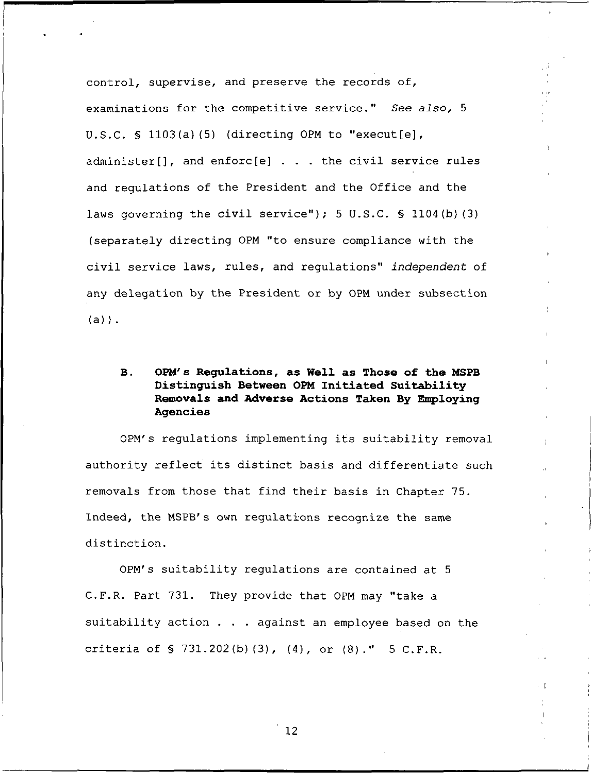control, supervise, and preserve the records of, examinations for the competitive service." See also, 5 U.S.C. § 1103(a)(5) (directing 0PM to "execut[e], administer[], and enforc[e] . . . the civil service rules and regulations of the President and the Office and the laws governing the civil service"); 5 U.S.C.  $\lesssim$  1104(b)(3) (separately directing 0PM "to ensure compliance with the civil service laws, rules, and regulations" independent of any delegation by the President or by OPM under subsection  $(a)$ ).

# B. OPM's Regulations, as Well as Those of the MSPB Distinguish Between OPM Initiated Suitability Removals and Adverse Actions Taken By Employing Agencies

OPM's regulations implementing its suitability removal authority reflect its distinct basis and differentiate such removals from those that find their basis in Chapter 75. Indeed, the MSPB's own regulations recognize the same distinction.

OPM's suitability regulations are contained at 5 C.F.R. Part 731. They provide that OPM may "take a suitability action . . . against an employee based on the criteria of § 731.202(b)(3), (4), or (8)." 5 C.F.R.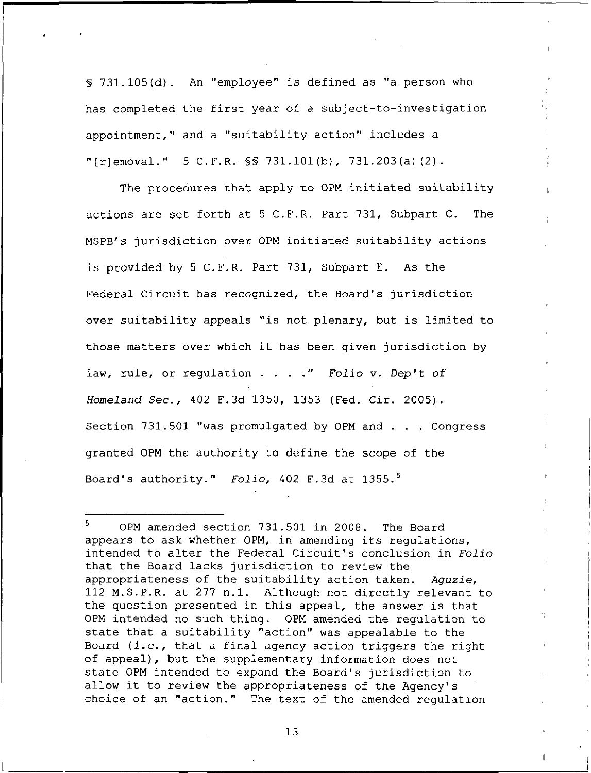§ 731.105{d). An "employee" is defined as "a person who has completed the first year of a subject-to-investigation appointment," and a "suitability action" includes a "[r]emoval." 5 C.F.R.  $\frac{1}{5}$  731.101(b), 731.203(a)(2).

ÎЭ

페

The procedures that apply to 0PM initiated suitability actions are set forth at 5 C.F.R. Part 731, Subpart C. The MSPB's jurisdiction over 0PM initiated suitability actions is provided by 5 C.F.R. Part 731, Subpart E. As the Federal Circuit has recognized, the Board's jurisdiction over suitability appeals "is not plenary, but is limited to those matters over which it has been given jurisdiction by law, rule, or regulation . . . ." Folio v. Dep't of Homeland Sec., 402 F.3d 1350, 1353 (Fed. Cir. 2005). Section 731.501 "was promulgated by 0PM and . . . Congress granted 0PM the authority to define the scope of the Board's authority." Folio, 402 F.3d at 1355.<sup>5</sup>

<sup>5</sup> OPM amended section 731.501 in 2008. The Board appears to ask whether OPM, in amending its regulations, intended to alter the Federal Circuit's conclusion in Folio that the Board lacks jurisdiction to review the appropriateness of the suitability action taken. Aguzie, 112 M.S.P.R. at 277 n.l. Although not directly relevant to the question presented in this appeal, the answer is that OPM intended no such thing. OPM amended the regulation to state that a suitability "action" was appealable to the Board  $(i.e., that a final agency action triggers the right$ of appeal), but the supplementary information does not state OPM intended to expand the Board's jurisdiction to allow it to review the appropriateness of the Agency's choice of an "action." The text of the amended regulation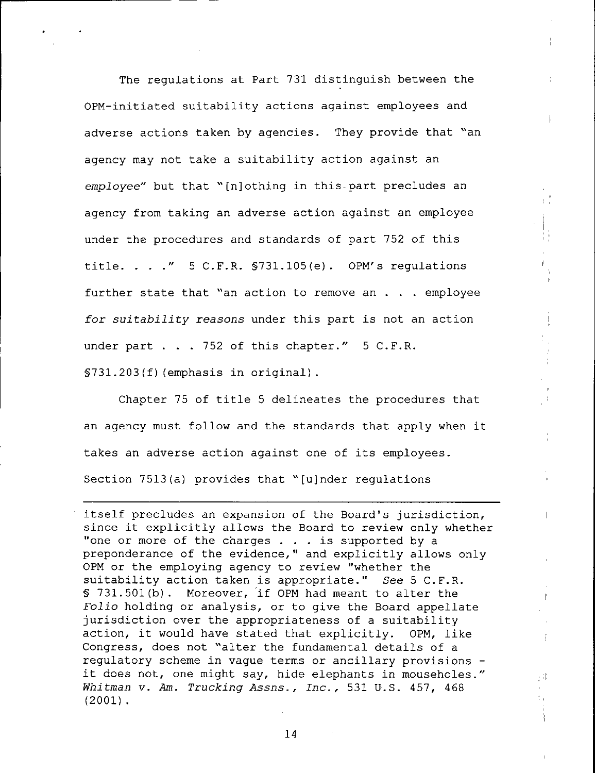The regulations at Part 731 distinguish between the OPM-initiated suitability actions against employees and adverse actions taken by agencies. They provide that "an agency may not take a suitability action against an employee" but that "[n]othing in this-part precludes an agency from taking an adverse action against an employee under the procedures and standards of part 752 of this title. . . ."  $5$  C.F.R.  $$731.105(e)$ . OPM's regulations further state that "an action to remove an ... employee for suitability reasons under this part is not an action under part . . . 752 of this chapter." 5 C.F.R. §731.203(f)(emphasis in original).

Chapter 75 of title 5 delineates the procedures that an agency must follow and the standards that apply when it takes an adverse action against one of its employees. Section 7513(a) provides that "[ujnder regulations

itself precludes an expansion of the Board's jurisdiction, since it explicitly allows the Board to review only whether "one or more of the charges . . . is supported by a preponderance of the evidence," and explicitly allows only 0PM or the employing agency to review "whether the suitability action taken is appropriate." See 5 C.F.R. § 731.501(b). Moreover, 'if 0PM had meant to alter the Folio holding or analysis, or to give the Board appellate jurisdiction over the appropriateness of a suitability action, it would have stated that explicitly. 0PM, like Congress, does not "alter the fundamental details of a regulatory scheme in vague terms or ancillary provisions it does not, one might say, hide elephants in mouseholes." Whitman v. Am. Trucking Assns., Inc., 531 U.S. 457, 468 (2001).

Ť

拙

t,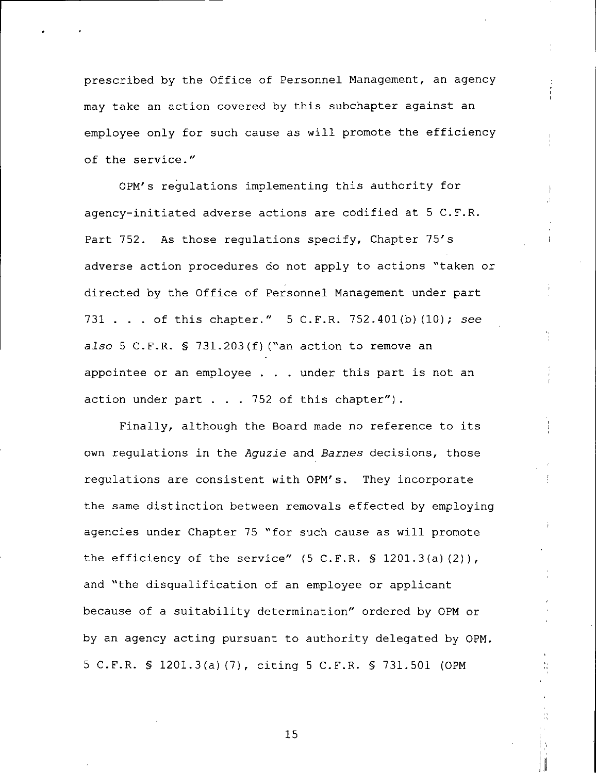prescribed by the Office of Personnel Management, an agency may take an action covered by this subchapter against an employee only for such cause as will promote the efficiency of the service."

0PM's regulations implementing this authority for agency-initiated adverse actions are codified at 5 C.F.R. Part 752. As those regulations specify, Chapter 75's adverse action procedures do not apply to actions "taken or directed by the Office of Personnel Management under part 731 . . . of this chapter." 5 C.F.R. 752.401(b) (10); see also 5 C.F.R. § 731.203(f)("an action to remove an appointee or an employee . . . under this part is not an action under part  $\ldots$  . 752 of this chapter").

Finally, although the Board made no reference to its own regulations in the Aguzie and Barnes decisions, those regulations are consistent with 0PM's. They incorporate the same distinction between removals effected by employing agencies under Chapter 75 "for such cause as will promote the efficiency of the service"  $(5 C.F.R. S 1201.3(a)(2)),$ and "the disqualification of an employee or applicant because of a suitability determination" ordered by 0PM or by an agency acting pursuant to authority delegated by 0PM. 5 C.F.R. § 1201.3(a) (7), citing 5 C.F.R. § 731.501 (0PM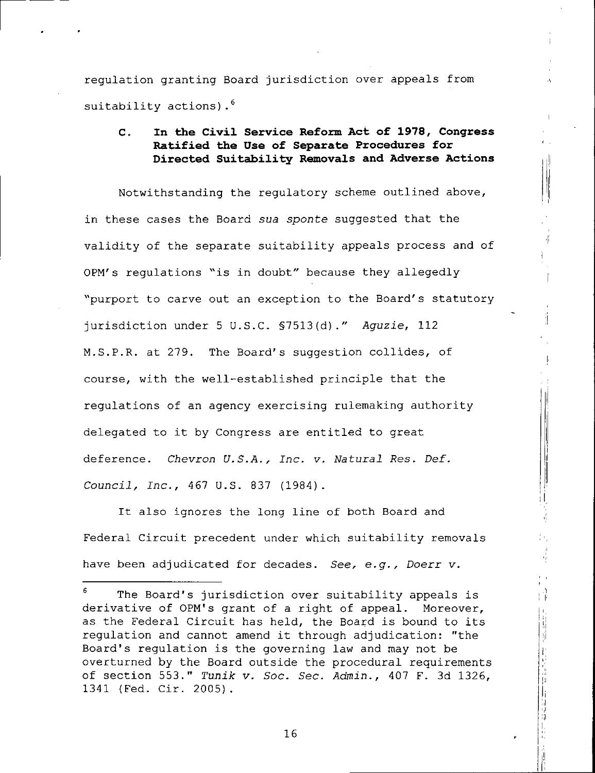regulation granting Board jurisdiction over appeals from suitability actions).<sup>6</sup>

# C. In the Civil Service Reform Act of 1978, Congress Ratified the Use of Separate Procedures for Directed Suitability Removals and Adverse Actions

Notwithstanding the regulatory scheme outlined above, in these cases the Board sua sponte suggested that the validity of the separate suitability appeals process and of 0PM's regulations "is in doubt" because they allegedly "purport to carve out an exception to the Board's statutory jurisdiction under 5 U.S.C. §7513(d)." Aguzie, 112 M.S.P.R. at 279. The Board's suggestion collides, of course, with the well-established principle that the regulations of an agency exercising rulemaking authority delegated to it by Congress are entitled to great deference. Chevron U.S.A., Inc. v. Natural Res. Def. Council, Inc., 467 U.S. 837 (1984).

It also ignores the long line of both Board and Federal Circuit precedent under which suitability removals have been adjudicated for decades. See, e.g., Doerr v.

N ŋ,

The Board's jurisdiction over suitability appeals is derivative of 0PM's grant of a right of appeal. Moreover, as the Federal Circuit has held, the Board is bound to its regulation and cannot amend it through adjudication: "the Board's regulation is the governing law and may not be overturned by the Board outside the procedural requirements of section 553." Tunik v. Soc. Sec. Admin., 407 F. 3d 1326, 1341 {Fed. Cir. 2005).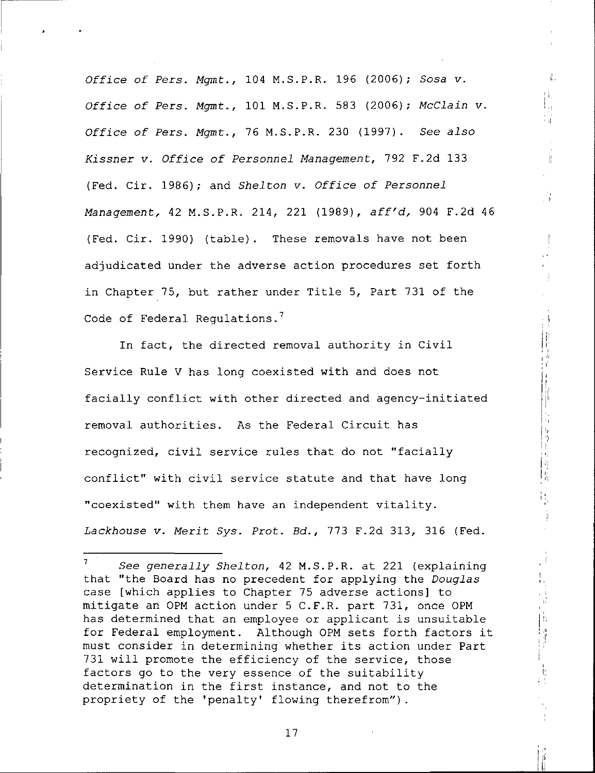Office of Pers. Mgmt., 104 M.S.P.R. 196 (2006); Sosa v. Office of Pers. Mgmt., 101 M.S.P.R. 583 (2006); McClain v. Office of Pers. Mgmt., 76 M.S.P.R. 230 (1997). See also Kissner v. Office of Personnel Management, 792 F.2d 133 (Fed. Cir. 1986); and Shelton v. Office of Personnel Management, 42 M.S.P.R. 214, 221 (1989), aff'd, 904 F.2d 46 (Fed. Cir. 1990) (table). These removals have not been adjudicated under the adverse action procedures set forth in Chapter 75, but rather under Title 5, Part 731 of the Code of Federal Regulations.<sup>7</sup>

Å.

 $\frac{1}{2}$ 

In fact, the directed removal authority in Civil Service Rule V has long coexisted with and does not facially conflict with other directed and agency-initiated removal authorities. As the Federal Circuit has recognized, civil service rules that do not "facially conflict" with civil service statute and that have long "coexisted" with them have an independent vitality. Lackhouse v. Merit Sys. Prot. Bd., 773 F.2d 313, 316 (Fed.

 $7$  See generally Shelton, 42 M.S.P.R. at 221 (explaining that "the Board has no precedent for applying the *Douglas* case [which applies to Chapter 75 adverse actions] to mitigate an 0PM action under 5 C.F.R. part 731, once 0PM has determined that an employee or applicant is unsuitable for Federal employment. Although 0PM sets forth factors it must consider in determining whether its action under Part 731 will promote the efficiency of the service, those factors go to the very essence of the suitability determination in the first instance, and not to the propriety of the 'penalty' flowing therefrom").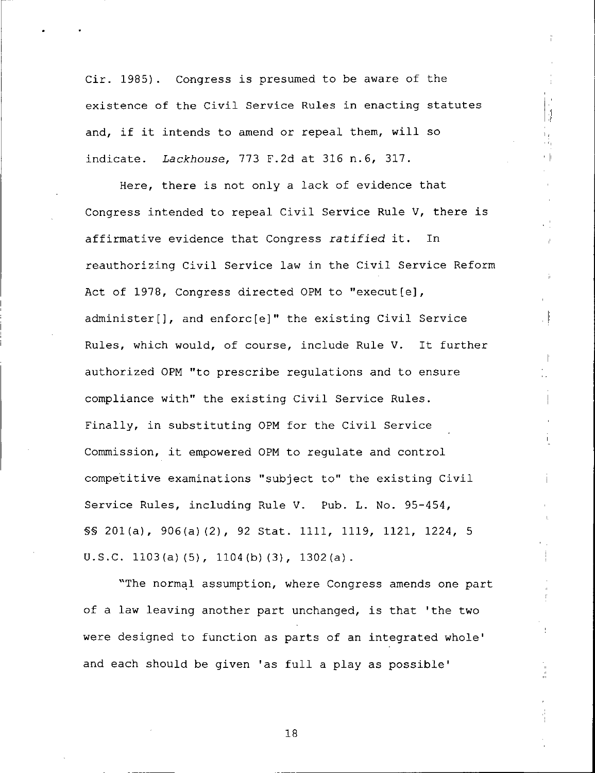Cir. 1985). Congress is presumed to be aware of the existence of the Civil Service Rules in enacting statutes and, if it intends to amend or repeal them, will so indicate. Lackhouse, 773 F.2d at 316 n.6, 317.

 $\begin{bmatrix} 1 \\ 1 \\ 0 \\ 0 \end{bmatrix}$ 

Here, there is not only a lack of evidence that Congress intended to repeal Civil Service Rule V, there is affirmative evidence that Congress ratified it. In reauthorizing Civil Service law in the Civil Service Reform Act of 1978, Congress directed OPM to "execut[e], administer!], and enforc[e]" the existing Civil Service Rules, which would, of course, include Rule V. It further authorized 0PM "to prescribe regulations and to ensure compliance with" the existing Civil Service Rules. Finally, in substituting 0PM for the Civil Service Commission, it empowered 0PM to regulate and control competitive examinations "subject to" the existing Civil Service Rules, including Rule V. Pub. L. No. 95-454, §§ 201(a), 906(a)(2), 92 Stat. 1111, 1119, 1121, 1224, 5 U.S.C. 1103(a) (5), 1104(b) (3), 1302(a) .

"The normal assumption, where Congress amends one part of a law leaving another part unchanged, is that 'the two were designed to function as parts of an integrated whole' and each should be given 'as full a play as possible'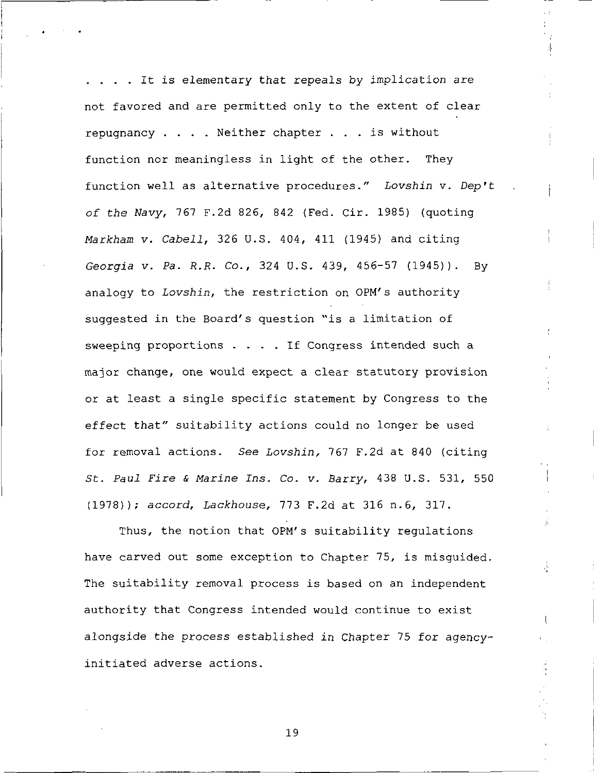. . . . It is elementary that repeals by implication are not favored and are permitted only to the extent of clear repugnancy ... . Neither chapter ... is without function nor meaningless in light of the other. They function well as alternative procedures." Lovshin v. Dep't of the Wavy, 767 F.2d 826, 842 (Fed. Cir. 1985) (quoting Markham v. Cabell, 326 U.S. 404, 411 (1945) and citing Georgia v. Pa. R.R. Co., 324 U.S. 439, 456-57 (1945)). By analogy to Lovshin, the restriction on 0PM's authority suggested in the Board's question "is a limitation of sweeping proportions ... . If Congress intended such a major change, one would expect a clear statutory provision or at least a single specific statement by Congress to the effect that" suitability actions could no longer be used for removal actions. See Lovshin, 767 F.2d at 840 (citing St. Paul Fire & Marine Ins. Co. v. Barry, 438 U.S. 531, 550 (1978)); accord, Lackhouse, 773 F.2d at 316 n.6, 317.

 $\cdot \vert$ 

ė

Thus, the notion that 0PM's suitability regulations have carved out some exception to Chapter 75, is misguided. The suitability removal process is based on an independent authority that Congress intended would continue to exist alongside the process established in Chapter 75 for agencyinitiated adverse actions.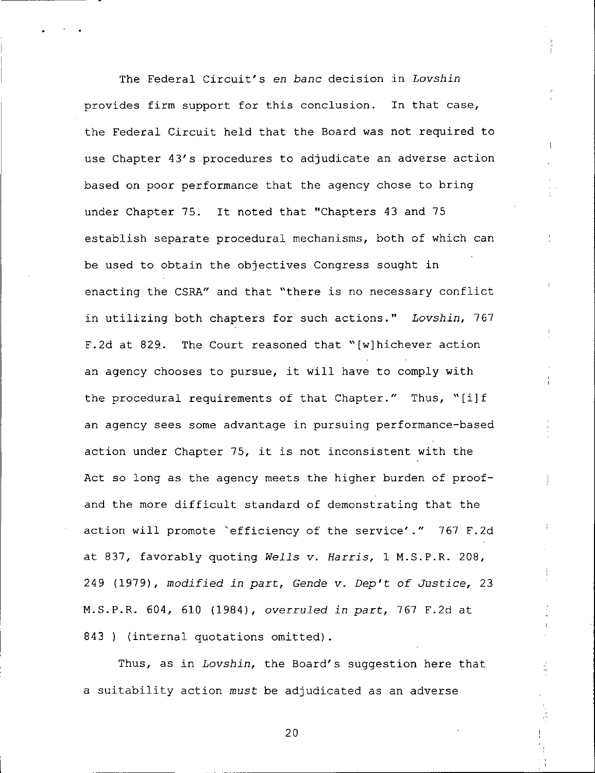The Federal Circuit's en bane decision in Lovshin provides firm support for this conclusion. In that case, the Federal Circuit held that the Board was not required to use Chapter 43's procedures to adjudicate an adverse action based on poor performance that the agency chose to bring under Chapter 75. It noted that "Chapters 43 and 75 establish separate procedural mechanisms, both of which can be used to obtain the objectives Congress sought in enacting the CSRA" and that "there is no necessary conflict in utilizing both chapters for such actions." Lovshin, 767 F.2d at 829. The Court reasoned that "[w]hichever action an agency chooses to pursue, it will have to comply with the procedural requirements of that Chapter." Thus, "[i]f an agency sees some advantage in pursuing performance-based action under Chapter 75, it is not inconsistent with the Act so long as the agency meets the higher burden of proofand the more difficult standard of demonstrating that the action will promote "efficiency of the service'." 767 F.2d at 837, favorably quoting Wells v. Harris, 1 M.S.P.R. 208, 249 (1979), modified in part, Gende v. Dep't of Justice, 23 M.S.P.R. 604, 610 (1984), overruled in part, 767 F.2dat 843 ) (internal quotations omitted).

Thus, as in Lovshin, the Board's suggestion here that a suitability action must be adjudicated as an adverse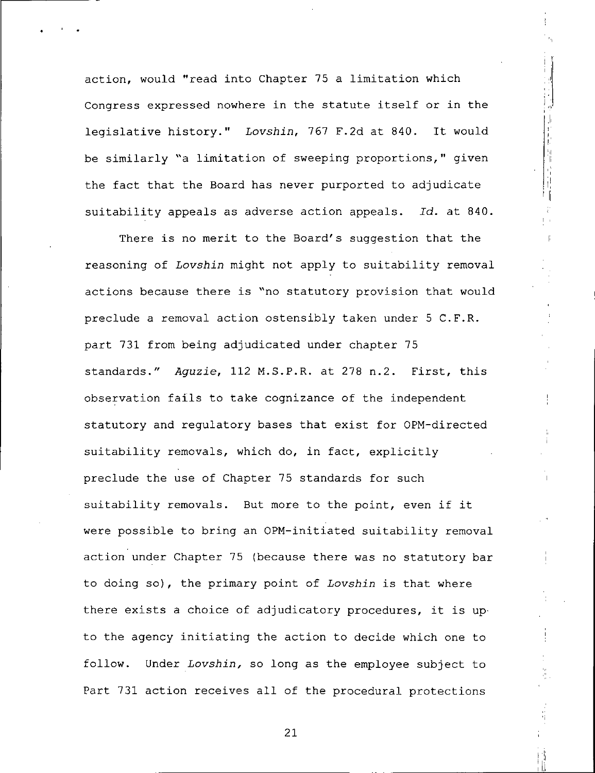action, would "read into Chapter 75 a limitation which Congress expressed nowhere in the statute itself or in the legislative history." Lovshin, 767 F.2d at 840. It would be similarly "a limitation of sweeping proportions," given the fact that the Board has never purported to adjudicate suitability appeals as adverse action appeals. Id. at 840.

計量

 $\frac{d}{dt}$ 

There is no merit to the Board's suggestion that the reasoning of Lovshin might not apply to suitability removal actions because there is "no statutory provision that would preclude a removal action ostensibly taken under 5 C.F.R. part 731 from being adjudicated under chapter 75 standards." Aguzie, 112 M.S.P.R. at 278 n.2. First, this observation fails to take cognizance of the independent statutory and regulatory bases that exist for OPM-directed suitability removals, which do, in fact, explicitly preclude the use of Chapter 75 standards for such suitability removals. But more to the point, even if it were possible to bring an OPM-initiated suitability removal action under Chapter 75 (because there was no statutory bar to doing so), the primary point of Lovshin is that where there exists a choice of adjudicatory procedures, it is upto the agency initiating the action to decide which one to follow. Under Lovshin, so long as the employee subject to Part 731 action receives all of the procedural protections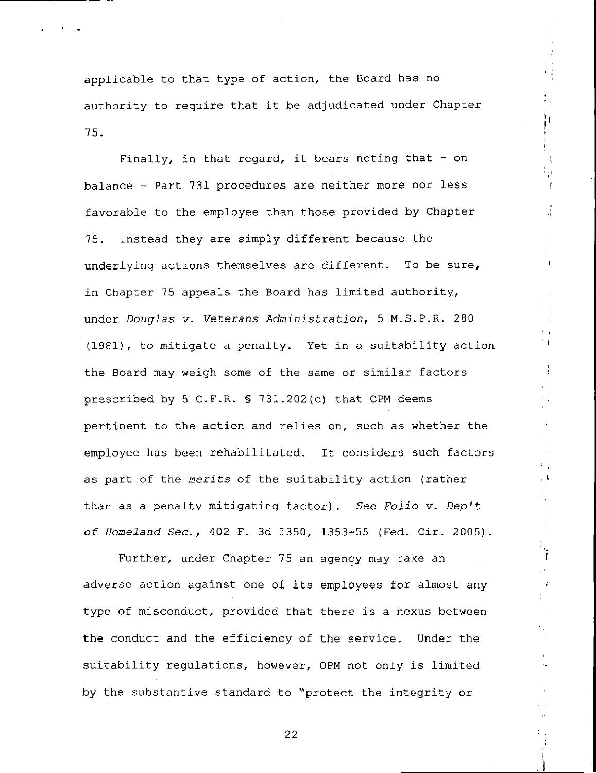applicable to that type of action, the Board has no authority to require that it be adjudicated under Chapter 75.

 $\mathbb{H}^+$ Ìť. H)

Finally, in that regard, it bears noting that  $-$  on balance - Part 731 procedures are neither more nor less favorable to the employee than those provided by Chapter 75. Instead they are simply different because the underlying actions themselves are different. To be sure, in Chapter 75 appeals the Board has limited authority, under Douglas v. Veterans Administration, 5 M.S.P.R. 280 (1981), to mitigate a penalty. Yet in a suitability action the Board may weigh some of the same or similar factors prescribed by 5 C.F.R. § 731.202(c) that 0PM deems pertinent to the action and relies on, such as whether the employee has been rehabilitated. It considers such factors as part of the merits of the suitability action {rather than as a penalty mitigating factor). See Folio v. Dep't of Homeland Sec., 402 F. 3d 1350, 1353-55 (Fed. Cir. 2005).

Further, under Chapter 75 an agency may take an adverse action against one of its employees for almost any type of misconduct, provided that there is a nexus between the conduct and the efficiency of the service. Under the suitability regulations, however, 0PM not only is limited by the substantive standard to "protect the integrity or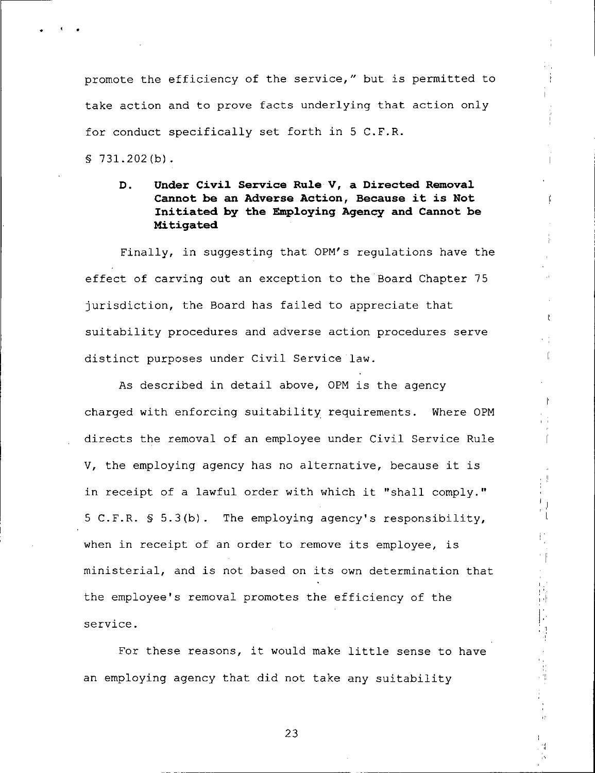promote the efficiency of the service," but is permitted to take action and to prove facts underlying that action only for conduct specifically set forth in 5 C.F.R.

 $$731.202(b).$ 

# D. Under Civil Service Rule V, a Directed Removal Cannot be an Adverse Action, Because it is Not Initiated by the Employing Agency and Cannot be Mitigated

Finally, in suggesting that 0PM's regulations have the effect of carving out an exception to the Board Chapter 75 jurisdiction, the Board has failed to appreciate that suitability procedures and adverse action procedures serve distinct purposes under Civil Service law.

As described in detail above, OPM is the agency charged with enforcing suitability requirements. Where OPM directs the removal of an employee under Civil Service Rule V, the employing agency has no alternative, because it is in receipt of a lawful order with which it "shall comply." 5 C.F.R. § 5.3(b). The employing agency's responsibility, when in receipt of an order to remove its employee, is ministerial, and is not based on its own determination that the employee's removal promotes the efficiency of the service.

For these reasons, it would make little sense to have an employing agency that did not take any suitability

( ) #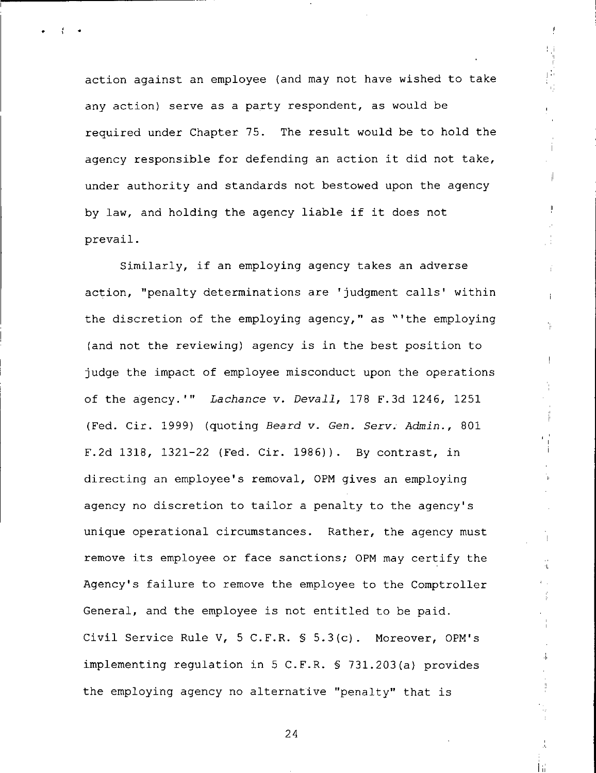action against an employee {and may not have wished to take any action) serve as a party respondent, as would be required under Chapter 75. The result would be to hold the agency responsible for defending an action it did not take, under authority and standards not bestowed upon the agency by law, and holding the agency liable if it does not prevail.

 $\mathfrak{f}$ 

ρŴ ήf.

 $\parallel$ 

 $\mathbf{L}$ 

Ϋ́

ak.

Ŧ

Similarly, if an employing agency takes an adverse action, "penalty determinations are 'judgment calls' within the discretion of the employing agency," as "'the employing (and not the reviewing) agency is in the best position to judge the impact of employee misconduct upon the operations of the agency.'" Lachance v. Devall, 178 F.3d 1246, 1251 (Fed. Cir. 1999) (quoting Beard v. Gen. Serv. Admin., 801 F.2d 1318, 1321-22 (Fed. Cir. 1986)). By contrast, in directing an employee's removal, 0PM gives an employing agency no discretion to tailor a penalty to the agency's unique operational circumstances. Rather, the agency must remove its employee or face sanctions; 0PM may certify the Agency's failure to remove the employee to the Comptroller General, and the employee is not entitled to be paid. Civil Service Rule V, 5 C.F.R. § 5.3(c). Moreover, OPM's implementing regulation in 5 C.F.R. § 731.203 (a) provides the employing agency no alternative "penalty" that is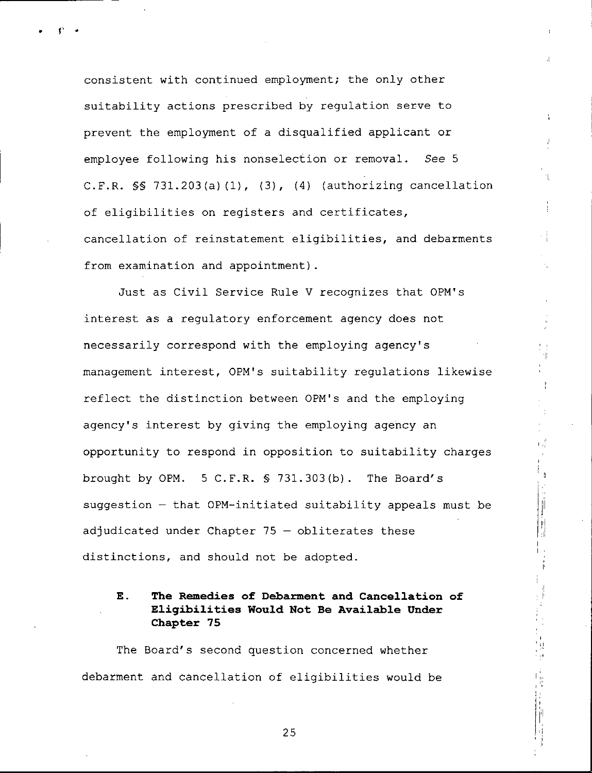consistent with continued employment; the only other suitability actions prescribed by regulation serve to prevent the employment of a disqualified applicant or employee following his nonselection or removal. See 5 C.F.R. §§ 731.203(a)(1), (3), (4) (authorizing cancellation of eligibilities on registers and certificates, cancellation of reinstatement eligibilities, and debarments from examination and appointment).

 $\frac{1}{10}$ 

Ŋ

Just as Civil Service Rule V recognizes that OPM's interest as a regulatory enforcement agency does not necessarily correspond with the employing agency's management interest, 0PM's suitability regulations likewise reflect the distinction between 0PM's and the employing agency's interest by giving the employing agency an opportunity to respond in opposition to suitability charges brought by 0PM. 5 C.F.R. § 731.303{b). The Board's suggestion — that OPM-initiated suitability appeals must be adjudicated under Chapter 75 — obliterates these distinctions, and should not be adopted.

## E. The Remedies of Debarment and Cancellation of Eligibilities Would Not Be Available Under Chapter 75

The Board's second question concerned whether debarment and cancellation of eligibilities would be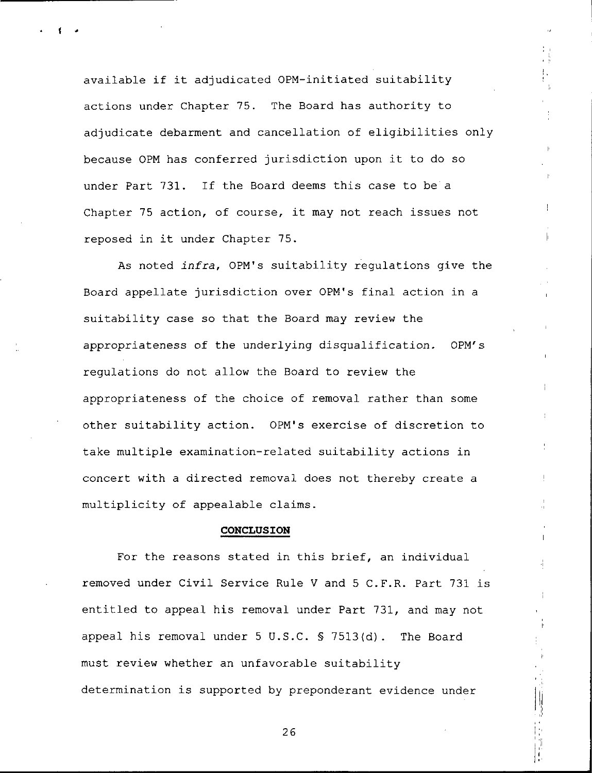available if it adjudicated OPM-initiated suitability actions under Chapter 75. The Board has authority to adjudicate debarment and cancellation of eligibilities only because 0PM has conferred jurisdiction upon it to do so under Part 731. If the Board deems this case to be a Chapter 75 action, of course, it may not reach issues not reposed in it under Chapter 75.

As noted infra, OPM's suitability regulations give the Board appellate jurisdiction over 0PM's final action in a suitability case so that the Board may review the appropriateness of the underlying disqualification. 0PM's regulations do not allow the Board to review the appropriateness of the choice of removal rather than some other suitability action. OPM's exercise of discretion to take multiple examination-related suitability actions in concert with a directed removal does not thereby create a multiplicity of appealable claims.

### CONCLUSION

For the reasons stated in this brief, an individual removed under Civil Service Rule V and 5 C.F.R. Part 731 is entitled to appeal his removal under Part 731, and may not appeal his removal under 5 U.S.C. § 7513{d). The Board must review whether an unfavorable suitability determination is supported by preponderant evidence under